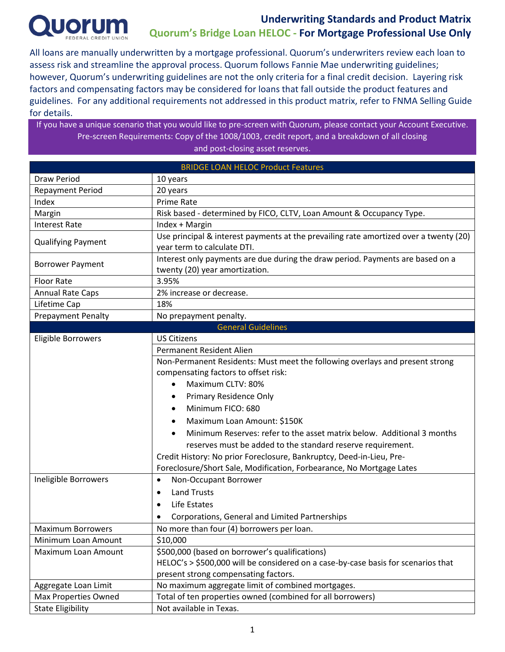

All loans are manually underwritten by a mortgage professional. Quorum's underwriters review each loan to assess risk and streamline the approval process. Quorum follows Fannie Mae underwriting guidelines; however, Quorum's underwriting guidelines are not the only criteria for a final credit decision. Layering risk factors and compensating factors may be considered for loans that fall outside the product features and guidelines. For any additional requirements not addressed in this product matrix, refer to FNMA Selling Guide for details.

If you have a unique scenario that you would like to pre-screen with Quorum, please contact your Account Executive. Pre-screen Requirements: Copy of the 1008/1003, credit report, and a breakdown of all closing and post-closing asset reserves.

| <b>BRIDGE LOAN HELOC Product Features</b> |                                                                                       |  |  |  |  |
|-------------------------------------------|---------------------------------------------------------------------------------------|--|--|--|--|
| Draw Period                               | 10 years                                                                              |  |  |  |  |
| <b>Repayment Period</b>                   | 20 years                                                                              |  |  |  |  |
| Index                                     | <b>Prime Rate</b>                                                                     |  |  |  |  |
| Margin                                    | Risk based - determined by FICO, CLTV, Loan Amount & Occupancy Type.                  |  |  |  |  |
| <b>Interest Rate</b>                      | Index + Margin                                                                        |  |  |  |  |
|                                           | Use principal & interest payments at the prevailing rate amortized over a twenty (20) |  |  |  |  |
| <b>Qualifying Payment</b>                 | year term to calculate DTI.                                                           |  |  |  |  |
| <b>Borrower Payment</b>                   | Interest only payments are due during the draw period. Payments are based on a        |  |  |  |  |
|                                           | twenty (20) year amortization.                                                        |  |  |  |  |
| <b>Floor Rate</b>                         | 3.95%                                                                                 |  |  |  |  |
| <b>Annual Rate Caps</b>                   | 2% increase or decrease.                                                              |  |  |  |  |
| Lifetime Cap                              | 18%                                                                                   |  |  |  |  |
| <b>Prepayment Penalty</b>                 | No prepayment penalty.                                                                |  |  |  |  |
|                                           | <b>General Guidelines</b>                                                             |  |  |  |  |
| Eligible Borrowers                        | <b>US Citizens</b>                                                                    |  |  |  |  |
|                                           | Permanent Resident Alien                                                              |  |  |  |  |
|                                           | Non-Permanent Residents: Must meet the following overlays and present strong          |  |  |  |  |
|                                           | compensating factors to offset risk:                                                  |  |  |  |  |
|                                           | Maximum CLTV: 80%                                                                     |  |  |  |  |
|                                           | Primary Residence Only                                                                |  |  |  |  |
|                                           | Minimum FICO: 680                                                                     |  |  |  |  |
|                                           | Maximum Loan Amount: \$150K                                                           |  |  |  |  |
|                                           | Minimum Reserves: refer to the asset matrix below. Additional 3 months                |  |  |  |  |
|                                           | reserves must be added to the standard reserve requirement.                           |  |  |  |  |
|                                           | Credit History: No prior Foreclosure, Bankruptcy, Deed-in-Lieu, Pre-                  |  |  |  |  |
|                                           | Foreclosure/Short Sale, Modification, Forbearance, No Mortgage Lates                  |  |  |  |  |
| Ineligible Borrowers                      | Non-Occupant Borrower<br>$\bullet$                                                    |  |  |  |  |
|                                           | <b>Land Trusts</b><br>٠                                                               |  |  |  |  |
|                                           | Life Estates<br>٠                                                                     |  |  |  |  |
|                                           | Corporations, General and Limited Partnerships                                        |  |  |  |  |
| <b>Maximum Borrowers</b>                  | No more than four (4) borrowers per loan.                                             |  |  |  |  |
| Minimum Loan Amount                       | \$10,000                                                                              |  |  |  |  |
| Maximum Loan Amount                       | \$500,000 (based on borrower's qualifications)                                        |  |  |  |  |
|                                           | HELOC's > \$500,000 will be considered on a case-by-case basis for scenarios that     |  |  |  |  |
|                                           | present strong compensating factors.                                                  |  |  |  |  |
| Aggregate Loan Limit                      | No maximum aggregate limit of combined mortgages.                                     |  |  |  |  |
| Max Properties Owned                      |                                                                                       |  |  |  |  |
|                                           | Total of ten properties owned (combined for all borrowers)                            |  |  |  |  |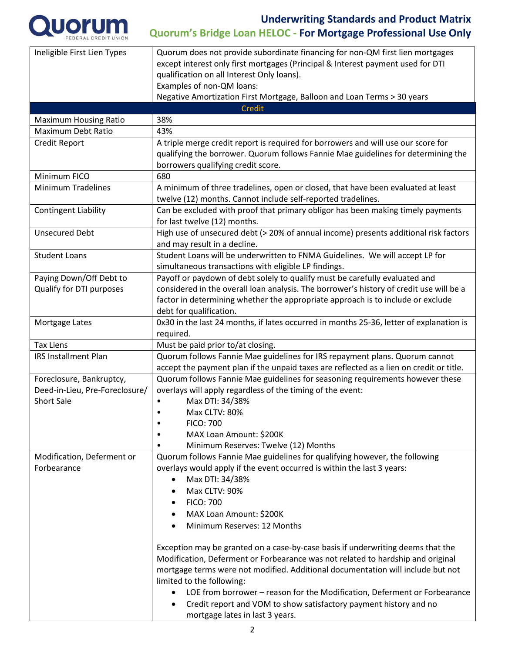

| Ineligible First Lien Types    | Quorum does not provide subordinate financing for non-QM first lien mortgages<br>except interest only first mortgages (Principal & Interest payment used for DTI<br>qualification on all Interest Only loans).<br>Examples of non-QM loans:                                        |  |  |  |  |
|--------------------------------|------------------------------------------------------------------------------------------------------------------------------------------------------------------------------------------------------------------------------------------------------------------------------------|--|--|--|--|
|                                | Negative Amortization First Mortgage, Balloon and Loan Terms > 30 years                                                                                                                                                                                                            |  |  |  |  |
|                                | <b>Credit</b>                                                                                                                                                                                                                                                                      |  |  |  |  |
| <b>Maximum Housing Ratio</b>   | 38%                                                                                                                                                                                                                                                                                |  |  |  |  |
| <b>Maximum Debt Ratio</b>      | 43%                                                                                                                                                                                                                                                                                |  |  |  |  |
| Credit Report                  | A triple merge credit report is required for borrowers and will use our score for<br>qualifying the borrower. Quorum follows Fannie Mae guidelines for determining the<br>borrowers qualifying credit score.                                                                       |  |  |  |  |
| Minimum FICO                   | 680                                                                                                                                                                                                                                                                                |  |  |  |  |
| <b>Minimum Tradelines</b>      | A minimum of three tradelines, open or closed, that have been evaluated at least<br>twelve (12) months. Cannot include self-reported tradelines.                                                                                                                                   |  |  |  |  |
| <b>Contingent Liability</b>    | Can be excluded with proof that primary obligor has been making timely payments<br>for last twelve (12) months.                                                                                                                                                                    |  |  |  |  |
| <b>Unsecured Debt</b>          | High use of unsecured debt (> 20% of annual income) presents additional risk factors<br>and may result in a decline.                                                                                                                                                               |  |  |  |  |
| <b>Student Loans</b>           | Student Loans will be underwritten to FNMA Guidelines. We will accept LP for<br>simultaneous transactions with eligible LP findings.                                                                                                                                               |  |  |  |  |
| Paying Down/Off Debt to        | Payoff or paydown of debt solely to qualify must be carefully evaluated and                                                                                                                                                                                                        |  |  |  |  |
| Qualify for DTI purposes       | considered in the overall loan analysis. The borrower's history of credit use will be a                                                                                                                                                                                            |  |  |  |  |
|                                | factor in determining whether the appropriate approach is to include or exclude<br>debt for qualification.                                                                                                                                                                         |  |  |  |  |
| Mortgage Lates                 | 0x30 in the last 24 months, if lates occurred in months 25-36, letter of explanation is<br>required.                                                                                                                                                                               |  |  |  |  |
| <b>Tax Liens</b>               | Must be paid prior to/at closing.                                                                                                                                                                                                                                                  |  |  |  |  |
| <b>IRS Installment Plan</b>    | Quorum follows Fannie Mae guidelines for IRS repayment plans. Quorum cannot                                                                                                                                                                                                        |  |  |  |  |
|                                | accept the payment plan if the unpaid taxes are reflected as a lien on credit or title.                                                                                                                                                                                            |  |  |  |  |
| Foreclosure, Bankruptcy,       | Quorum follows Fannie Mae guidelines for seasoning requirements however these                                                                                                                                                                                                      |  |  |  |  |
| Deed-in-Lieu, Pre-Foreclosure/ | overlays will apply regardless of the timing of the event:                                                                                                                                                                                                                         |  |  |  |  |
| <b>Short Sale</b>              | Max DTI: 34/38%<br>$\bullet$                                                                                                                                                                                                                                                       |  |  |  |  |
|                                | Max CLTV: 80%                                                                                                                                                                                                                                                                      |  |  |  |  |
|                                | <b>FICO: 700</b><br>٠                                                                                                                                                                                                                                                              |  |  |  |  |
|                                | MAX Loan Amount: \$200K                                                                                                                                                                                                                                                            |  |  |  |  |
|                                | Minimum Reserves: Twelve (12) Months                                                                                                                                                                                                                                               |  |  |  |  |
| Modification, Deferment or     | Quorum follows Fannie Mae guidelines for qualifying however, the following                                                                                                                                                                                                         |  |  |  |  |
| Forbearance                    | overlays would apply if the event occurred is within the last 3 years:                                                                                                                                                                                                             |  |  |  |  |
|                                | Max DTI: 34/38%<br>$\bullet$                                                                                                                                                                                                                                                       |  |  |  |  |
|                                | Max CLTV: 90%                                                                                                                                                                                                                                                                      |  |  |  |  |
|                                | <b>FICO: 700</b>                                                                                                                                                                                                                                                                   |  |  |  |  |
|                                | MAX Loan Amount: \$200K<br>٠                                                                                                                                                                                                                                                       |  |  |  |  |
|                                | Minimum Reserves: 12 Months                                                                                                                                                                                                                                                        |  |  |  |  |
|                                | Exception may be granted on a case-by-case basis if underwriting deems that the<br>Modification, Deferment or Forbearance was not related to hardship and original<br>mortgage terms were not modified. Additional documentation will include but not<br>limited to the following: |  |  |  |  |
|                                | LOE from borrower - reason for the Modification, Deferment or Forbearance<br>Credit report and VOM to show satisfactory payment history and no<br>mortgage lates in last 3 years.                                                                                                  |  |  |  |  |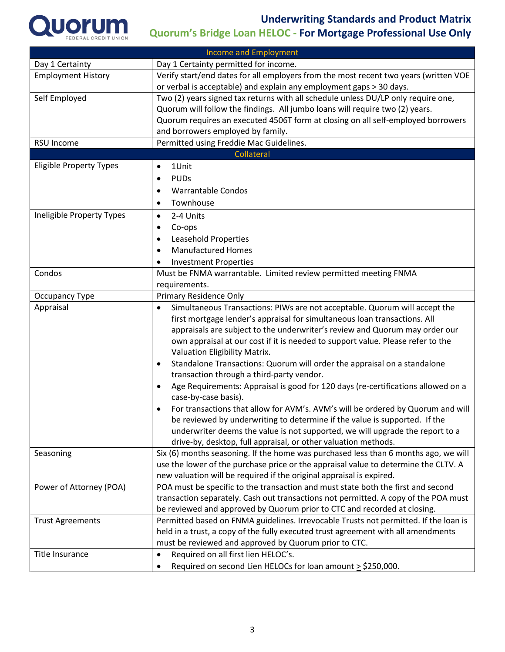

| <b>Income and Employment</b>   |                                                                                                                                                             |  |  |
|--------------------------------|-------------------------------------------------------------------------------------------------------------------------------------------------------------|--|--|
| Day 1 Certainty                | Day 1 Certainty permitted for income.                                                                                                                       |  |  |
| <b>Employment History</b>      | Verify start/end dates for all employers from the most recent two years (written VOE                                                                        |  |  |
|                                | or verbal is acceptable) and explain any employment gaps > 30 days.                                                                                         |  |  |
| Self Employed                  | Two (2) years signed tax returns with all schedule unless DU/LP only require one,                                                                           |  |  |
|                                | Quorum will follow the findings. All jumbo loans will require two (2) years.                                                                                |  |  |
|                                | Quorum requires an executed 4506T form at closing on all self-employed borrowers                                                                            |  |  |
|                                | and borrowers employed by family.                                                                                                                           |  |  |
| <b>RSU Income</b>              | Permitted using Freddie Mac Guidelines.                                                                                                                     |  |  |
|                                | Collateral                                                                                                                                                  |  |  |
| <b>Eligible Property Types</b> | 1Unit<br>$\bullet$                                                                                                                                          |  |  |
|                                | <b>PUDs</b><br>$\bullet$                                                                                                                                    |  |  |
|                                | <b>Warrantable Condos</b><br>٠                                                                                                                              |  |  |
|                                | Townhouse<br>٠                                                                                                                                              |  |  |
| Ineligible Property Types      | 2-4 Units<br>$\bullet$                                                                                                                                      |  |  |
|                                | Co-ops<br>٠                                                                                                                                                 |  |  |
|                                | Leasehold Properties<br>٠                                                                                                                                   |  |  |
|                                | <b>Manufactured Homes</b><br>$\bullet$                                                                                                                      |  |  |
|                                |                                                                                                                                                             |  |  |
| Condos                         | <b>Investment Properties</b>                                                                                                                                |  |  |
|                                | Must be FNMA warrantable. Limited review permitted meeting FNMA                                                                                             |  |  |
|                                | requirements.                                                                                                                                               |  |  |
| Occupancy Type                 | Primary Residence Only                                                                                                                                      |  |  |
| Appraisal                      | Simultaneous Transactions: PIWs are not acceptable. Quorum will accept the                                                                                  |  |  |
|                                | first mortgage lender's appraisal for simultaneous loan transactions. All                                                                                   |  |  |
|                                | appraisals are subject to the underwriter's review and Quorum may order our                                                                                 |  |  |
|                                | own appraisal at our cost if it is needed to support value. Please refer to the                                                                             |  |  |
|                                | Valuation Eligibility Matrix.                                                                                                                               |  |  |
|                                | Standalone Transactions: Quorum will order the appraisal on a standalone<br>$\bullet$                                                                       |  |  |
|                                | transaction through a third-party vendor.                                                                                                                   |  |  |
|                                | Age Requirements: Appraisal is good for 120 days (re-certifications allowed on a                                                                            |  |  |
|                                | case-by-case basis).                                                                                                                                        |  |  |
|                                | For transactions that allow for AVM's. AVM's will be ordered by Quorum and will                                                                             |  |  |
|                                | be reviewed by underwriting to determine if the value is supported. If the<br>underwriter deems the value is not supported, we will upgrade the report to a |  |  |
|                                |                                                                                                                                                             |  |  |
| Seasoning                      | drive-by, desktop, full appraisal, or other valuation methods.<br>Six (6) months seasoning. If the home was purchased less than 6 months ago, we will       |  |  |
|                                | use the lower of the purchase price or the appraisal value to determine the CLTV. A                                                                         |  |  |
|                                | new valuation will be required if the original appraisal is expired.                                                                                        |  |  |
| Power of Attorney (POA)        | POA must be specific to the transaction and must state both the first and second                                                                            |  |  |
|                                | transaction separately. Cash out transactions not permitted. A copy of the POA must                                                                         |  |  |
|                                | be reviewed and approved by Quorum prior to CTC and recorded at closing.                                                                                    |  |  |
| <b>Trust Agreements</b>        | Permitted based on FNMA guidelines. Irrevocable Trusts not permitted. If the loan is                                                                        |  |  |
|                                | held in a trust, a copy of the fully executed trust agreement with all amendments                                                                           |  |  |
|                                | must be reviewed and approved by Quorum prior to CTC.                                                                                                       |  |  |
| <b>Title Insurance</b>         |                                                                                                                                                             |  |  |
|                                | Required on all first lien HELOC's.<br>$\bullet$                                                                                                            |  |  |
|                                | Required on second Lien HELOCs for loan amount $\geq$ \$250,000.                                                                                            |  |  |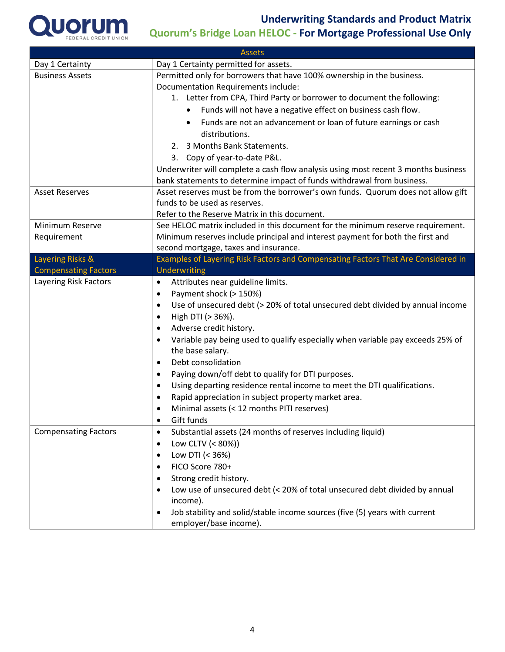

| <b>Assets</b>               |                                                                                                                 |  |  |  |  |
|-----------------------------|-----------------------------------------------------------------------------------------------------------------|--|--|--|--|
| Day 1 Certainty             | Day 1 Certainty permitted for assets.                                                                           |  |  |  |  |
| <b>Business Assets</b>      | Permitted only for borrowers that have 100% ownership in the business.                                          |  |  |  |  |
|                             | Documentation Requirements include:                                                                             |  |  |  |  |
|                             | 1. Letter from CPA, Third Party or borrower to document the following:                                          |  |  |  |  |
|                             | Funds will not have a negative effect on business cash flow.<br>$\bullet$                                       |  |  |  |  |
|                             | Funds are not an advancement or loan of future earnings or cash<br>$\bullet$                                    |  |  |  |  |
|                             | distributions.<br>2. 3 Months Bank Statements.                                                                  |  |  |  |  |
|                             |                                                                                                                 |  |  |  |  |
|                             | 3. Copy of year-to-date P&L.                                                                                    |  |  |  |  |
|                             | Underwriter will complete a cash flow analysis using most recent 3 months business                              |  |  |  |  |
|                             | bank statements to determine impact of funds withdrawal from business.                                          |  |  |  |  |
| <b>Asset Reserves</b>       | Asset reserves must be from the borrower's own funds. Quorum does not allow gift                                |  |  |  |  |
|                             | funds to be used as reserves.                                                                                   |  |  |  |  |
|                             | Refer to the Reserve Matrix in this document.                                                                   |  |  |  |  |
| Minimum Reserve             | See HELOC matrix included in this document for the minimum reserve requirement.                                 |  |  |  |  |
| Requirement                 | Minimum reserves include principal and interest payment for both the first and                                  |  |  |  |  |
|                             | second mortgage, taxes and insurance.                                                                           |  |  |  |  |
| Layering Risks &            | Examples of Layering Risk Factors and Compensating Factors That Are Considered in                               |  |  |  |  |
| <b>Compensating Factors</b> | Underwriting                                                                                                    |  |  |  |  |
| Layering Risk Factors       | Attributes near guideline limits.<br>$\bullet$                                                                  |  |  |  |  |
|                             | Payment shock (> 150%)<br>$\bullet$                                                                             |  |  |  |  |
|                             | Use of unsecured debt (> 20% of total unsecured debt divided by annual income<br>$\bullet$                      |  |  |  |  |
|                             | High DTI (> 36%).<br>$\bullet$                                                                                  |  |  |  |  |
|                             | Adverse credit history.<br>$\bullet$                                                                            |  |  |  |  |
|                             | Variable pay being used to qualify especially when variable pay exceeds 25% of<br>$\bullet$<br>the base salary. |  |  |  |  |
|                             | Debt consolidation<br>$\bullet$                                                                                 |  |  |  |  |
|                             | Paying down/off debt to qualify for DTI purposes.<br>$\bullet$                                                  |  |  |  |  |
|                             | Using departing residence rental income to meet the DTI qualifications.<br>$\bullet$                            |  |  |  |  |
|                             | Rapid appreciation in subject property market area.<br>$\bullet$                                                |  |  |  |  |
|                             | Minimal assets (< 12 months PITI reserves)<br>$\bullet$                                                         |  |  |  |  |
|                             | Gift funds<br>$\bullet$                                                                                         |  |  |  |  |
| <b>Compensating Factors</b> | Substantial assets (24 months of reserves including liquid)<br>$\bullet$                                        |  |  |  |  |
|                             | Low CLTV (< 80%))<br>$\bullet$                                                                                  |  |  |  |  |
|                             | Low DTI (< 36%)<br>٠                                                                                            |  |  |  |  |
|                             | FICO Score 780+<br>$\bullet$                                                                                    |  |  |  |  |
|                             | Strong credit history.<br>٠                                                                                     |  |  |  |  |
|                             | Low use of unsecured debt (< 20% of total unsecured debt divided by annual<br>٠                                 |  |  |  |  |
|                             | income).                                                                                                        |  |  |  |  |
|                             | Job stability and solid/stable income sources (five (5) years with current<br>$\bullet$                         |  |  |  |  |
|                             | employer/base income).                                                                                          |  |  |  |  |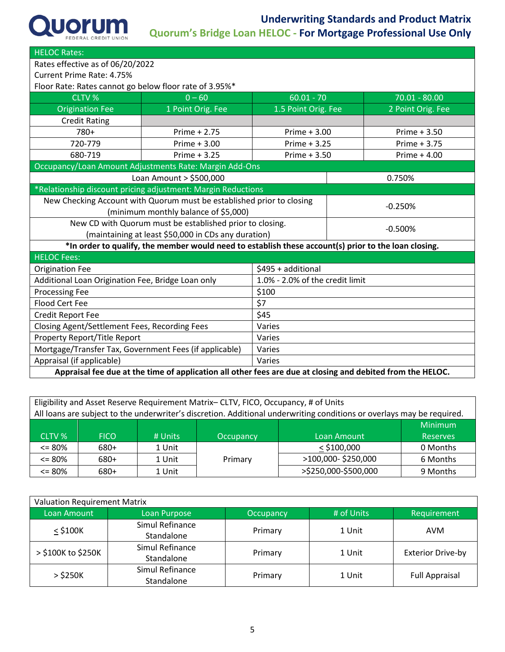| <b>HELOC Rates:</b>                                                                                        |                                                                                                      |                                 |  |                   |  |
|------------------------------------------------------------------------------------------------------------|------------------------------------------------------------------------------------------------------|---------------------------------|--|-------------------|--|
| Rates effective as of 06/20/2022                                                                           |                                                                                                      |                                 |  |                   |  |
| Current Prime Rate: 4.75%                                                                                  |                                                                                                      |                                 |  |                   |  |
| Floor Rate: Rates cannot go below floor rate of 3.95%*                                                     |                                                                                                      |                                 |  |                   |  |
| <b>CLTV %</b>                                                                                              | $0 - 60$                                                                                             | $60.01 - 70$<br>$70.01 - 80.00$ |  |                   |  |
| <b>Origination Fee</b>                                                                                     | 1 Point Orig. Fee                                                                                    | 1.5 Point Orig. Fee             |  | 2 Point Orig. Fee |  |
| <b>Credit Rating</b>                                                                                       |                                                                                                      |                                 |  |                   |  |
| 780+                                                                                                       | Prime $+2.75$                                                                                        | Prime $+3.00$                   |  | Prime $+3.50$     |  |
| 720-779                                                                                                    | Prime $+3.00$                                                                                        | Prime $+3.25$                   |  | Prime + 3.75      |  |
| 680-719                                                                                                    | Prime $+3.25$                                                                                        | Prime + 3.50                    |  | Prime $+4.00$     |  |
| Occupancy/Loan Amount Adjustments Rate: Margin Add-Ons                                                     |                                                                                                      |                                 |  |                   |  |
| Loan Amount > \$500,000                                                                                    |                                                                                                      |                                 |  | 0.750%            |  |
|                                                                                                            | *Relationship discount pricing adjustment: Margin Reductions                                         |                                 |  |                   |  |
|                                                                                                            | New Checking Account with Quorum must be established prior to closing                                |                                 |  |                   |  |
| (minimum monthly balance of \$5,000)                                                                       |                                                                                                      | $-0.250%$                       |  |                   |  |
| New CD with Quorum must be established prior to closing.                                                   |                                                                                                      | $-0.500%$                       |  |                   |  |
| (maintaining at least \$50,000 in CDs any duration)                                                        |                                                                                                      |                                 |  |                   |  |
|                                                                                                            | *In order to qualify, the member would need to establish these account(s) prior to the loan closing. |                                 |  |                   |  |
| <b>HELOC Fees:</b>                                                                                         |                                                                                                      |                                 |  |                   |  |
| <b>Origination Fee</b>                                                                                     | \$495 + additional                                                                                   |                                 |  |                   |  |
| Additional Loan Origination Fee, Bridge Loan only                                                          | 1.0% - 2.0% of the credit limit                                                                      |                                 |  |                   |  |
| <b>Processing Fee</b>                                                                                      | \$100                                                                                                |                                 |  |                   |  |
| <b>Flood Cert Fee</b>                                                                                      | \$7                                                                                                  |                                 |  |                   |  |
| <b>Credit Report Fee</b>                                                                                   | \$45                                                                                                 |                                 |  |                   |  |
| Closing Agent/Settlement Fees, Recording Fees                                                              | Varies                                                                                               |                                 |  |                   |  |
| Property Report/Title Report                                                                               | Varies                                                                                               |                                 |  |                   |  |
| Mortgage/Transfer Tax, Government Fees (if applicable)<br>Varies                                           |                                                                                                      |                                 |  |                   |  |
| Appraisal (if applicable)<br>Varies                                                                        |                                                                                                      |                                 |  |                   |  |
| Appraisal fee due at the time of application all other fees are due at closing and debited from the HELOC. |                                                                                                      |                                 |  |                   |  |

| Eligibility and Asset Reserve Requirement Matrix-CLTV, FICO, Occupancy, # of Units                                     |             |         |           |                      |                 |  |
|------------------------------------------------------------------------------------------------------------------------|-------------|---------|-----------|----------------------|-----------------|--|
| All loans are subject to the underwriter's discretion. Additional underwriting conditions or overlays may be required. |             |         |           |                      |                 |  |
|                                                                                                                        |             |         | Minimum   |                      |                 |  |
| CLTV %                                                                                                                 | <b>FICO</b> | # Units | Occupancy | Loan Amount          | <b>Reserves</b> |  |
| $\leq$ 80%                                                                                                             | 680+        | 1 Unit  |           | $<$ \$100,000        | 0 Months        |  |
| $\leq$ 80%                                                                                                             | 680+        | 1 Unit  | Primary   | >100,000-\$250,000   | 6 Months        |  |
| $\leq$ 80%                                                                                                             | 680+        | 1 Unit  |           | >\$250,000-\$500,000 | 9 Months        |  |

| <b>Valuation Requirement Matrix</b> |                               |           |            |                          |  |
|-------------------------------------|-------------------------------|-----------|------------|--------------------------|--|
| Loan Amount                         | Loan Purpose                  | Occupancy | # of Units | Requirement              |  |
| $<$ \$100 $K$                       | Simul Refinance<br>Standalone | Primary   | 1 Unit     | <b>AVM</b>               |  |
| > \$100K to \$250K                  | Simul Refinance<br>Standalone | Primary   | 1 Unit     | <b>Exterior Drive-by</b> |  |
| $>$ \$250K                          | Simul Refinance<br>Standalone | Primary   | 1 Unit     | <b>Full Appraisal</b>    |  |